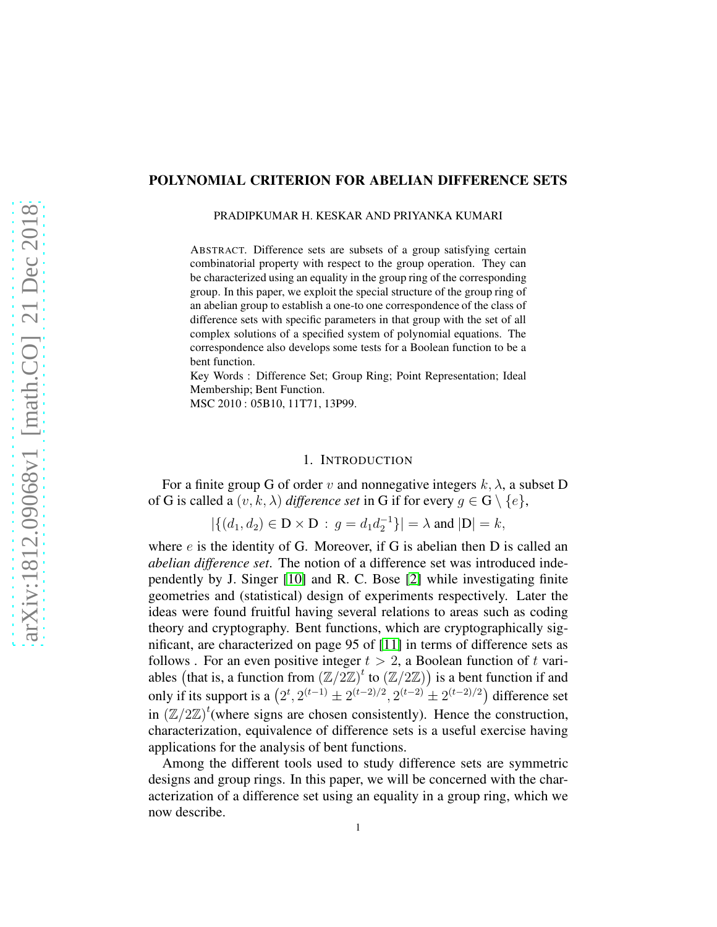# POLYNOMIAL CRITERION FOR ABELIAN DIFFERENCE SETS

PRADIPKUMAR H. KESKAR AND PRIYANKA KUMARI

ABSTRACT. Difference sets are subsets of a group satisfying certain combinatorial property with respect to the group operation. They can be characterized using an equality in the group ring of the corresponding group. In this paper, we exploit the special structure of the group ring of an abelian group to establish a one-to one correspondence of the class of difference sets with specific parameters in that group with the set of all complex solutions of a specified system of polynomial equations. The correspondence also develops some tests for a Boolean function to be a bent function.

Key Words : Difference Set; Group Ring; Point Representation; Ideal Membership; Bent Function.

MSC 2010 : 05B10, 11T71, 13P99.

## 1. INTRODUCTION

For a finite group G of order v and nonnegative integers  $k, \lambda$ , a subset D of G is called a  $(v, k, \lambda)$  *difference set* in G if for every  $g \in G \setminus \{e\},$ 

$$
|\{(d_1, d_2) \in \mathbf{D} \times \mathbf{D} : g = d_1 d_2^{-1}\}| = \lambda \text{ and } |\mathbf{D}| = k,
$$

where  $e$  is the identity of G. Moreover, if G is abelian then D is called an *abelian difference set*. The notion of a difference set was introduced independently by J. Singer [\[10\]](#page-16-0) and R. C. Bose [\[2\]](#page-15-0) while investigating finite geometries and (statistical) design of experiments respectively. Later the ideas were found fruitful having several relations to areas such as coding theory and cryptography. Bent functions, which are cryptographically significant, are characterized on page 95 of [\[11\]](#page-16-1) in terms of difference sets as follows . For an even positive integer  $t > 2$ , a Boolean function of t variables (that is, a function from  $(\mathbb{Z}/2\mathbb{Z})^t$  to  $(\mathbb{Z}/2\mathbb{Z})$ ) is a bent function if and only if its support is a  $(2^t, 2^{(t-1)} \pm 2^{(t-2)/2}, 2^{(t-2)} \pm 2^{(t-2)/2})$  difference set in  $(\mathbb{Z}/2\mathbb{Z})^t$  (where signs are chosen consistently). Hence the construction, characterization, equivalence of difference sets is a useful exercise having applications for the analysis of bent functions.

Among the different tools used to study difference sets are symmetric designs and group rings. In this paper, we will be concerned with the characterization of a difference set using an equality in a group ring, which we now describe.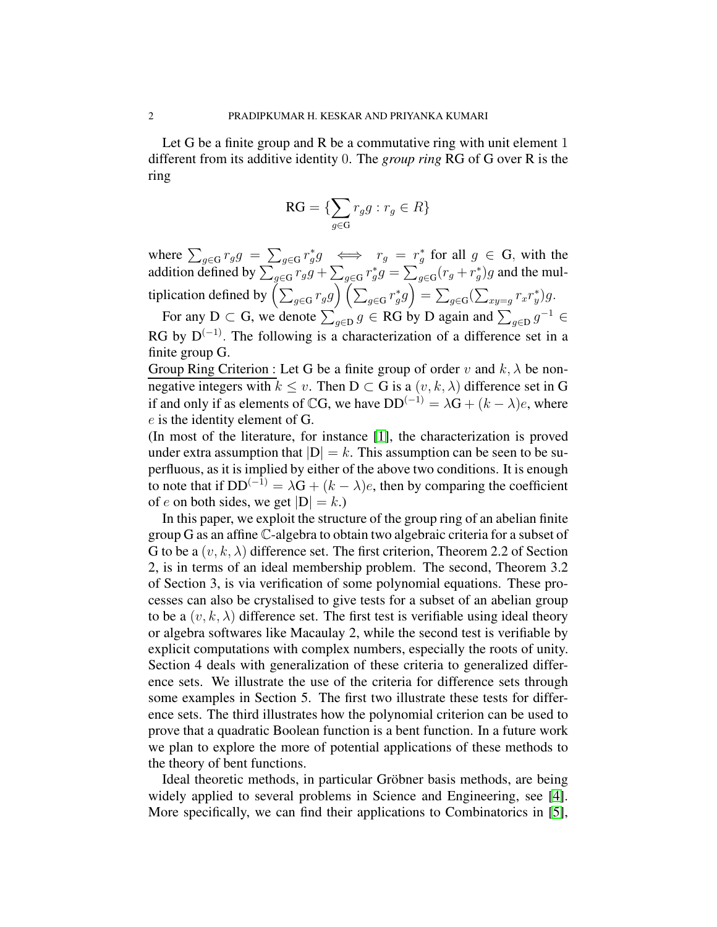Let G be a finite group and R be a commutative ring with unit element 1 different from its additive identity 0. The *group ring* RG of G over R is the ring

$$
\mathbf{RG} = \{ \sum_{g \in \mathbf{G}} r_g g : r_g \in R \}
$$

where  $\sum_{g \in G} r_g g = \sum_{g \in G} r_g^* g \iff r_g = r_g^*$  for all  $g \in G$ , with the addition defined by  $\sum_{g\in G}r_gg + \sum_{g\in G}r_g^*g = \sum_{g\in G}(r_g + r_g^*)g$  and the multiplication defined by  $\left(\sum_{g\in {\rm G}}r_gg\right)\left(\sum_{g\in {\rm G}}r_g^*g\right)=\sum_{g\in {\rm G}}(\sum_{xy=g}r_xr_y^*)g.$ 

For any D  $\subset$  G, we denote  $\sum_{g \in D} g \in RG$  by D again and  $\sum_{g \in D} g^{-1} \in$ RG by  $D^{(-1)}$ . The following is a characterization of a difference set in a finite group G.

Group Ring Criterion : Let G be a finite group of order v and  $k, \lambda$  be nonnegative integers with  $k \leq v$ . Then  $D \subset G$  is a  $(v, k, \lambda)$  difference set in G if and only if as elements of CG, we have  $DD^{(-1)} = \lambda G + (k - \lambda)e$ , where e is the identity element of G.

(In most of the literature, for instance [\[1\]](#page-15-1), the characterization is proved under extra assumption that  $|D| = k$ . This assumption can be seen to be superfluous, as it is implied by either of the above two conditions. It is enough to note that if  $DD^{(-1)} = \lambda G + (k - \lambda)e$ , then by comparing the coefficient of e on both sides, we get  $|D| = k$ .)

In this paper, we exploit the structure of the group ring of an abelian finite group G as an affine C-algebra to obtain two algebraic criteria for a subset of G to be a  $(v, k, \lambda)$  difference set. The first criterion, Theorem 2.2 of Section 2, is in terms of an ideal membership problem. The second, Theorem 3.2 of Section 3, is via verification of some polynomial equations. These processes can also be crystalised to give tests for a subset of an abelian group to be a  $(v, k, \lambda)$  difference set. The first test is verifiable using ideal theory or algebra softwares like Macaulay 2, while the second test is verifiable by explicit computations with complex numbers, especially the roots of unity. Section 4 deals with generalization of these criteria to generalized difference sets. We illustrate the use of the criteria for difference sets through some examples in Section 5. The first two illustrate these tests for difference sets. The third illustrates how the polynomial criterion can be used to prove that a quadratic Boolean function is a bent function. In a future work we plan to explore the more of potential applications of these methods to the theory of bent functions.

Ideal theoretic methods, in particular Gröbner basis methods, are being widely applied to several problems in Science and Engineering, see [\[4\]](#page-16-2). More specifically, we can find their applications to Combinatorics in [\[5\]](#page-16-3),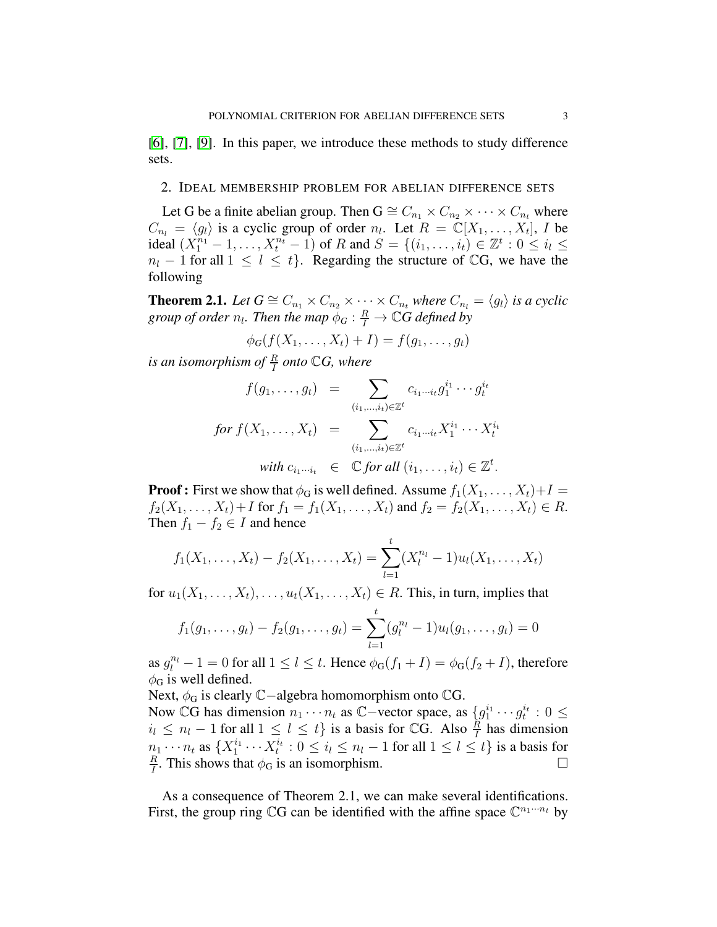[\[6\]](#page-16-4), [\[7\]](#page-16-5), [\[9\]](#page-16-6). In this paper, we introduce these methods to study difference sets.

# 2. IDEAL MEMBERSHIP PROBLEM FOR ABELIAN DIFFERENCE SETS

Let G be a finite abelian group. Then  $G \cong C_{n_1} \times C_{n_2} \times \cdots \times C_{n_t}$  where  $C_{n_l} = \langle g_l \rangle$  is a cyclic group of order  $n_l$ . Let  $R = \mathbb{C}[X_1, \dots, X_t]$ , I be ideal  $(X_1^{n_1} - 1, ..., X_t^{n_t} - 1)$  of R and  $S = \{(i_1, ..., i_t) \in \mathbb{Z}^t : 0 \le i_t \le$  $n_l - 1$  for all  $1 \leq l \leq t$ . Regarding the structure of CG, we have the following

**Theorem 2.1.** *Let*  $G \cong C_{n_1} \times C_{n_2} \times \cdots \times C_{n_t}$  *where*  $C_{n_l} = \langle g_l \rangle$  *is a cyclic* group of order  $n_l$ . Then the map  $\phi_G : \frac{R}{I} \to \mathbb{C}G$  defined by

$$
\phi_G(f(X_1,\ldots,X_t)+I)=f(g_1,\ldots,g_t)
$$

is an isomorphism of  $\frac{R}{I}$  onto  $\mathbb{C} G$ , where

$$
f(g_1, \ldots, g_t) = \sum_{(i_1, \ldots, i_t) \in \mathbb{Z}^t} c_{i_1 \cdots i_t} g_1^{i_1} \cdots g_t^{i_t}
$$
  
\n
$$
for \ f(X_1, \ldots, X_t) = \sum_{(i_1, \ldots, i_t) \in \mathbb{Z}^t} c_{i_1 \cdots i_t} X_1^{i_1} \cdots X_t^{i_t}
$$
  
\nwith  $c_{i_1 \cdots i_t} \in \mathbb{C}$  for all  $(i_1, \ldots, i_t) \in \mathbb{Z}^t$ .

**Proof :** First we show that  $\phi_G$  is well defined. Assume  $f_1(X_1, \ldots, X_t) + I =$  $f_2(X_1, \ldots, X_t) + I$  for  $f_1 = f_1(X_1, \ldots, X_t)$  and  $f_2 = f_2(X_1, \ldots, X_t) \in R$ . Then  $f_1 - f_2 \in I$  and hence

$$
f_1(X_1,\ldots,X_t) - f_2(X_1,\ldots,X_t) = \sum_{l=1}^t (X_l^{n_l} - 1)u_l(X_1,\ldots,X_t)
$$

for  $u_1(X_1, \ldots, X_t), \ldots, u_t(X_1, \ldots, X_t) \in R$ . This, in turn, implies that

$$
f_1(g_1,\ldots,g_t)-f_2(g_1,\ldots,g_t)=\sum_{l=1}^t(g_l^{n_l}-1)u_l(g_1,\ldots,g_t)=0
$$

as  $g_l^{n_l} - 1 = 0$  for all  $1 \le l \le t$ . Hence  $\phi_G(f_1 + I) = \phi_G(f_2 + I)$ , therefore  $\phi$ <sub>G</sub> is well defined.

Next,  $\phi_G$  is clearly  $\mathbb{C}-$ algebra homomorphism onto  $\mathbb{C}G$ .

Now CG has dimension  $n_1 \cdots n_t$  as C−vector space, as  $\{g_1^{i_1} \cdots g_t^{i_t} : 0 \leq$  $i_l$  ≤  $n_l$  − 1 for all 1 ≤  $l \leq t$ } is a basis for CG. Also  $\frac{\hat{R}}{I}$  has dimension  $n_1 \cdots n_t$  as  $\{X_1^{i_1} \cdots X_t^{i_t} : 0 \le i_l \le n_l - 1$  for all  $1 \le l \le t\}$  is a basis for R  $\frac{R}{I}$ . This shows that  $\phi_G$  is an isomorphism.

As a consequence of Theorem 2.1, we can make several identifications. First, the group ring  $\mathbb{C}G$  can be identified with the affine space  $\mathbb{C}^{n_1 \cdots n_t}$  by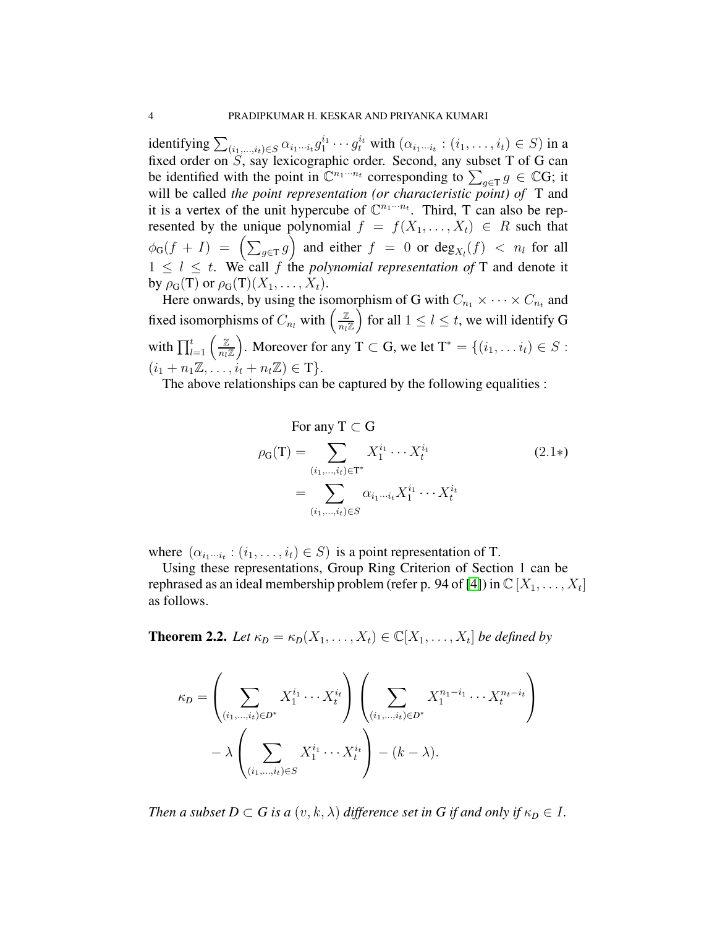identifying  $\sum_{(i_1,...,i_t)\in S}\alpha_{i_1\cdots i_t}g_1^{i_1}\cdots g_t^{i_t}$  with  $(\alpha_{i_1\cdots i_t}:(i_1,...,i_t)\in S)$  in a fixed order on  $S$ , say lexicographic order. Second, any subset T of G can be identified with the point in  $\mathbb{C}^{n_1 \cdots n_t}$  corresponding to  $\sum_{g \in \mathcal{T}} g \in \mathbb{C}G$ ; it will be called *the point representation (or characteristic point) of* T and it is a vertex of the unit hypercube of  $\mathbb{C}^{n_1 \cdots n_t}$ . Third, T can also be represented by the unique polynomial  $f = f(X_1, \ldots, X_t) \in R$  such that  $\phi_G(f+I) = \left(\sum_{g \in \mathcal{T}} g\right)$  and either  $f = 0$  or  $\deg_{X_l}(f) < n_l$  for all  $1 \leq l \leq t$ . We call f the *polynomial representation of* T and denote it by  $\rho_{\mathbf{G}}(\mathbf{T})$  or  $\rho_{\mathbf{G}}(\mathbf{T})(X_1,\ldots,X_t)$ .

Here onwards, by using the isomorphism of G with  $C_{n_1} \times \cdots \times C_{n_t}$  and fixed isomorphisms of  $C_{n_l}$  with  $\left(\frac{\mathbb{Z}}{n_l}\right)$  $\frac{\mathbb{Z}}{n_l\mathbb{Z}}\Big)$  for all  $1\leq l\leq t,$  we will identify G with  $\prod_{l=1}^t \left( \frac{\mathbb{Z}}{n_l!} \right)$  $\frac{\mathbb{Z}}{n_l \mathbb{Z}}$ ). Moreover for any T  $\subset$  G, we let  $\mathrm{T}^* = \{(i_1, \ldots i_t) \in S :$  $(i_1 + n_1 \mathbb{Z}, \ldots, i_t + n_t \mathbb{Z}) \in \mathbb{T}$ .

The above relationships can be captured by the following equalities :

For any 
$$
T \subset G
$$
  
\n
$$
\rho_G(T) = \sum_{(i_1,\dots,i_t)\in T^*} X_1^{i_1} \cdots X_t^{i_t}
$$
\n
$$
= \sum_{(i_1,\dots,i_t)\in S} \alpha_{i_1\cdots i_t} X_1^{i_1} \cdots X_t^{i_t}
$$
\n(2.1\*)

where  $(\alpha_{i_1\cdots i_t} : (i_1, \ldots, i_t) \in S)$  is a point representation of T.

Using these representations, Group Ring Criterion of Section 1 can be rephrased as an ideal membership problem (refer p. 94 of [\[4\]](#page-16-2)) in  $\mathbb{C} [X_1, \ldots, X_t]$ as follows.

**Theorem 2.2.** *Let*  $\kappa_D = \kappa_D(X_1, \ldots, X_t) \in \mathbb{C}[X_1, \ldots, X_t]$  *be defined by* 

$$
\kappa_D = \left(\sum_{(i_1,\ldots,i_t)\in D^*} X_1^{i_1}\cdots X_t^{i_t}\right)\left(\sum_{(i_1,\ldots,i_t)\in D^*} X_1^{n_1-i_1}\cdots X_t^{n_t-i_t}\right) - \lambda \left(\sum_{(i_1,\ldots,i_t)\in S} X_1^{i_1}\cdots X_t^{i_t}\right) - (k-\lambda).
$$

*Then a subset*  $D \subset G$  *is a*  $(v, k, \lambda)$  *difference set in G if and only if*  $\kappa_D \in I$ *.*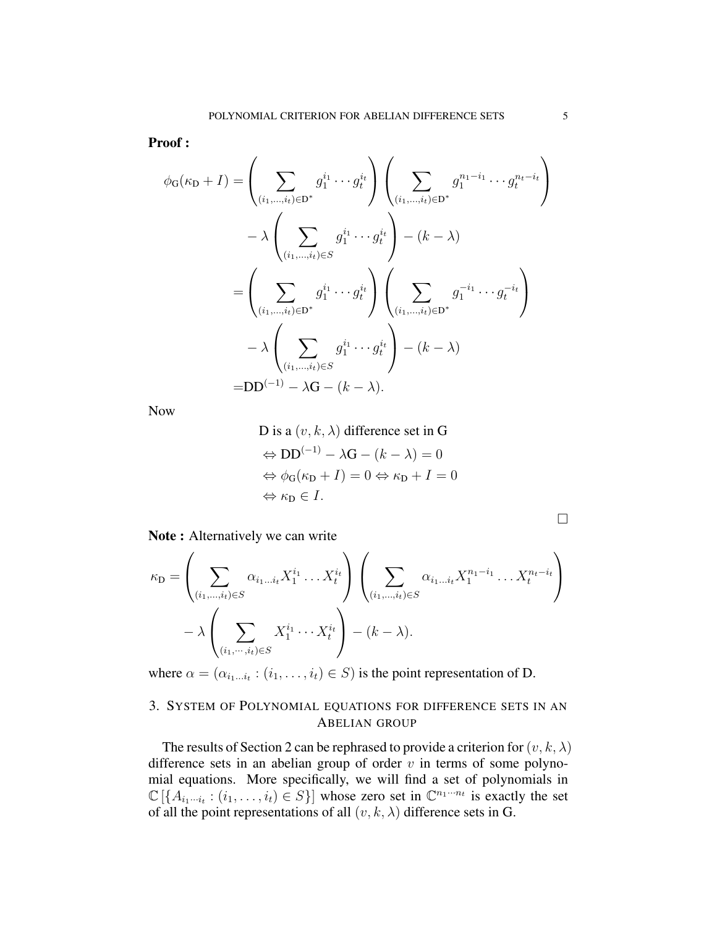Proof :

$$
\phi_{G}(\kappa_{D} + I) = \left(\sum_{(i_{1},...,i_{t}) \in D^{*}} g_{1}^{i_{1}} \cdots g_{t}^{i_{t}}\right) \left(\sum_{(i_{1},...,i_{t}) \in D^{*}} g_{1}^{n_{1} - i_{1}} \cdots g_{t}^{n_{t} - i_{t}}\right) \n- \lambda \left(\sum_{(i_{1},...,i_{t}) \in S} g_{1}^{i_{1}} \cdots g_{t}^{i_{t}}\right) - (k - \lambda) \n= \left(\sum_{(i_{1},...,i_{t}) \in D^{*}} g_{1}^{i_{1}} \cdots g_{t}^{i_{t}}\right) \left(\sum_{(i_{1},...,i_{t}) \in D^{*}} g_{1}^{-i_{1}} \cdots g_{t}^{-i_{t}}\right) \n- \lambda \left(\sum_{(i_{1},...,i_{t}) \in S} g_{1}^{i_{1}} \cdots g_{t}^{i_{t}}\right) - (k - \lambda) \n=DD^{(-1)} - \lambda G - (k - \lambda).
$$

Now

D is a 
$$
(v, k, \lambda)
$$
 difference set in G  
\n $\Leftrightarrow DD^{(-1)} - \lambda G - (k - \lambda) = 0$   
\n $\Leftrightarrow \phi_G(\kappa_D + I) = 0 \Leftrightarrow \kappa_D + I = 0$   
\n $\Leftrightarrow \kappa_D \in I.$ 

Note : Alternatively we can write

$$
\kappa_{\mathbf{D}} = \left(\sum_{(i_1,\ldots,i_t)\in S} \alpha_{i_1\ldots i_t} X_1^{i_1} \ldots X_t^{i_t} \right) \left(\sum_{(i_1,\ldots,i_t)\in S} \alpha_{i_1\ldots i_t} X_1^{n_1-i_1} \ldots X_t^{n_t-i_t} \right) - \lambda \left(\sum_{(i_1,\ldots,i_t)\in S} X_1^{i_1} \cdots X_t^{i_t} \right) - (k-\lambda).
$$

where  $\alpha = (\alpha_{i_1...i_t} : (i_1,...,i_t) \in S)$  is the point representation of D.

# 3. SYSTEM OF POLYNOMIAL EQUATIONS FOR DIFFERENCE SETS IN AN ABELIAN GROUP

The results of Section 2 can be rephrased to provide a criterion for  $(v, k, \lambda)$ difference sets in an abelian group of order  $v$  in terms of some polynomial equations. More specifically, we will find a set of polynomials in  $\mathbb{C}[\lbrace A_{i_1\cdots i_t} : (i_1,\ldots,i_t) \in S \rbrace]$  whose zero set in  $\mathbb{C}^{n_1\cdots n_t}$  is exactly the set of all the point representations of all  $(v, k, \lambda)$  difference sets in G.

 $\Box$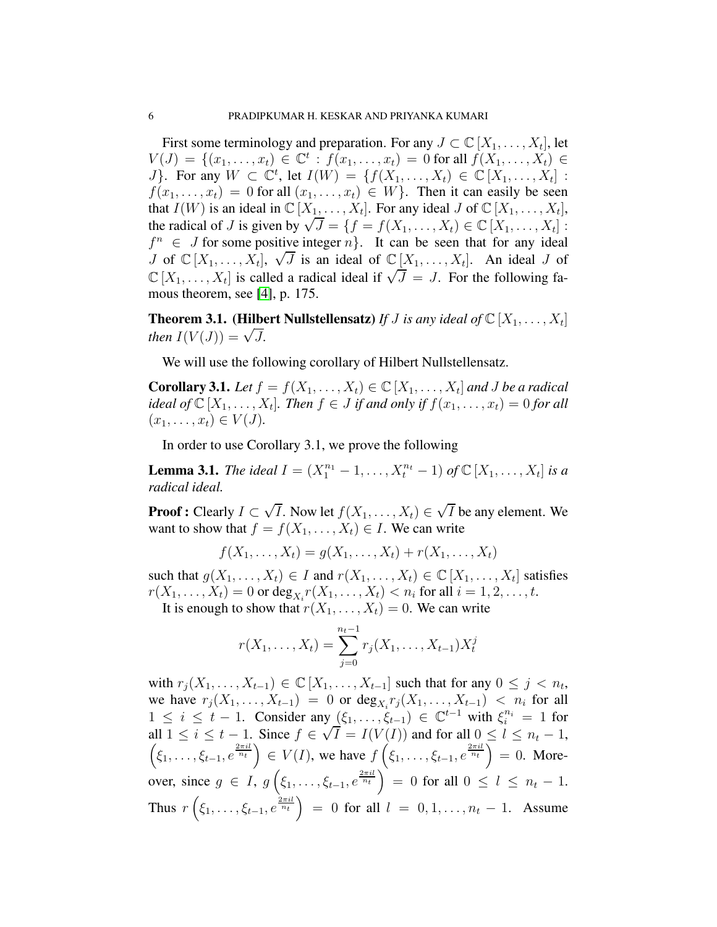First some terminology and preparation. For any  $J \subset \mathbb{C} [X_1, \ldots, X_t]$ , let  $V(J) = \{(x_1, \ldots, x_t) \in \mathbb{C}^t : f(x_1, \ldots, x_t) = 0 \text{ for all } f(X_1, \ldots, X_t) \in$ J. For any  $W \subset \mathbb{C}^t$ , let  $I(W) = \{f(X_1, \ldots, X_t) \in \mathbb{C} [X_1, \ldots, X_t] :$  $f(x_1, \ldots, x_t) = 0$  for all  $(x_1, \ldots, x_t) \in W$ . Then it can easily be seen that  $I(W)$  is an ideal in  $\mathbb{C}[X_1, \ldots, X_t]$ . For any ideal J of  $\mathbb{C}[X_1, \ldots, X_t]$ , the radical of J is given by  $\sqrt{J} = \{f = f(X_1, ..., X_t) \in \mathbb{C}[X_1, ..., X_t] :$  $f^n \in J$  for some positive integer  $n$ . It can be seen that for any ideal J of  $\mathbb{C}[X_1,\ldots,X_t], \sqrt{J}$  is an ideal of  $\mathbb{C}[X_1,\ldots,X_t]$ . An ideal J of  $\mathbb{C}[X_1,\ldots,X_t]$  is called a radical ideal if  $\sqrt{J}=J$ . For the following famous theorem, see [\[4\]](#page-16-2), p. 175.

**Theorem 3.1.** (Hilbert Nullstellensatz) If *J* is any ideal of  $\mathbb{C}[X_1, \ldots, X_t]$ *then*  $I(V(J)) = \sqrt{J}$ .

We will use the following corollary of Hilbert Nullstellensatz.

**Corollary 3.1.** Let  $f = f(X_1, ..., X_t) \in \mathbb{C}[X_1, ..., X_t]$  and *J* be a radical *ideal of*  $\mathbb{C}[X_1, \ldots, X_t]$ *. Then*  $f \in J$  *if and only if*  $f(x_1, \ldots, x_t) = 0$  *for all*  $(x_1, \ldots, x_t) \in V(J)$ .

In order to use Corollary 3.1, we prove the following

**Lemma 3.1.** *The ideal*  $I = (X_1^{n_1} - 1, ..., X_t^{n_t} - 1)$  *of*  $\mathbb{C}[X_1, ..., X_t]$  *is a radical ideal.*

**Proof :** Clearly  $I \subset \sqrt{I}$ . Now let  $f(X_1, \ldots, X_t) \in \sqrt{I}$  be any element. We want to show that  $f = f(X_1, \ldots, X_t) \in I$ . We can write

$$
f(X_1, ..., X_t) = g(X_1, ..., X_t) + r(X_1, ..., X_t)
$$

such that  $g(X_1, \ldots, X_t) \in I$  and  $r(X_1, \ldots, X_t) \in \mathbb{C}[X_1, \ldots, X_t]$  satisfies  $r(X_1, ..., X_t) = 0$  or  $\deg_{X_i} r(X_1, ..., X_t) < n_i$  for all  $i = 1, 2, ..., t$ .

It is enough to show that  $r(X_1, \ldots, X_t) = 0$ . We can write

$$
r(X_1, \ldots, X_t) = \sum_{j=0}^{n_t-1} r_j(X_1, \ldots, X_{t-1}) X_t^j
$$

with  $r_j(X_1, \ldots, X_{t-1}) \in \mathbb{C}[X_1, \ldots, X_{t-1}]$  such that for any  $0 \leq j \leq n_t$ , we have  $r_j(X_1, ..., X_{t-1}) = 0$  or  $\deg_{X_i} r_j(X_1, ..., X_{t-1}) < n_i$  for all  $1 \leq i \leq t-1$ . Consider any  $(\xi_1, \ldots, \xi_{t-1}) \in \mathbb{C}^{t-1}$  with  $\xi_i^{n_i} = 1$  for all  $1 \le i \le t - 1$ . Since  $f \in \sqrt{I} = I(V(I))$  and for all  $0 \le l \le n_t - 1$ ,<br>  $\left(\xi_1, \ldots, \xi_{t-1}, e^{\frac{2\pi i l}{n_t}}\right) \in V(I)$ , we have  $f\left(\xi_1, \ldots, \xi_{t-1}, e^{\frac{2\pi i l}{n_t}}\right) = 0$ . Moreover, since  $g \in I$ ,  $g\left(\xi_1, \ldots, \xi_{t-1}, e^{\frac{2\pi i l}{n_t}}\right) = 0$  for all  $0 \le l \le n_t - 1$ . Thus  $r\left(\xi_1,\ldots,\xi_{t-1},e^{\frac{2\pi i l}{n_t}}\right) = 0$  for all  $l = 0,1,\ldots,n_t-1$ . Assume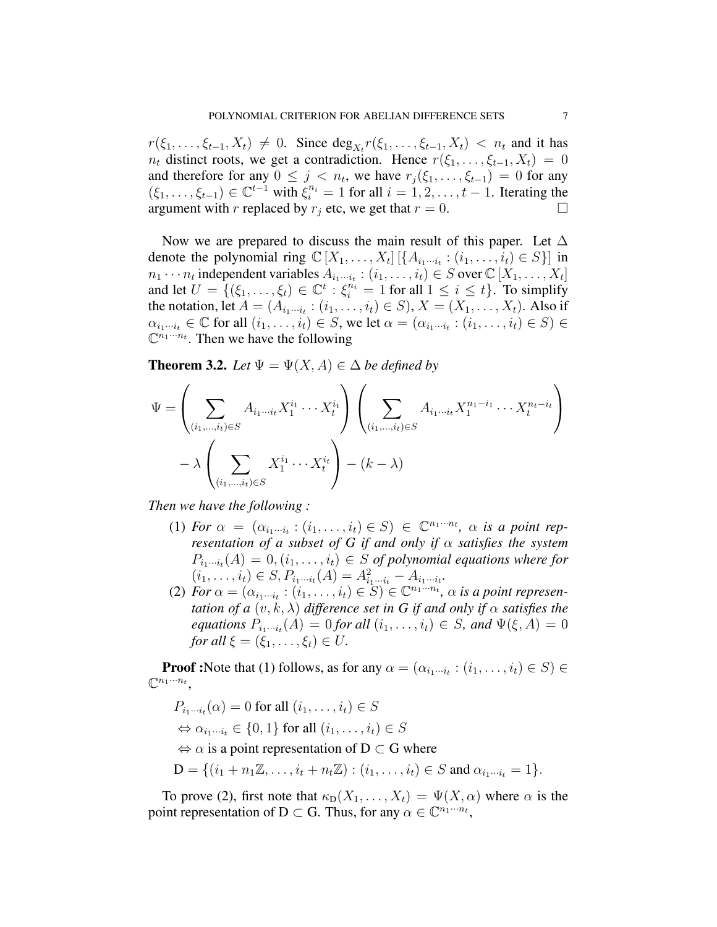$r(\xi_1, ..., \xi_{t-1}, X_t) \neq 0$ . Since  $\deg_{X_t} r(\xi_1, ..., \xi_{t-1}, X_t) < n_t$  and it has  $n_t$  distinct roots, we get a contradiction. Hence  $r(\xi_1, \ldots, \xi_{t-1}, X_t) = 0$ and therefore for any  $0 \leq j < n_t$ , we have  $r_j(\xi_1, \dots, \xi_{t-1}) = 0$  for any  $(\xi_1,\ldots,\xi_{t-1})\in\mathbb{C}^{t-1}$  with  $\xi_i^{n_i}=1$  for all  $i=1,2,\ldots,t-1$ . Iterating the argument with r replaced by  $r_i$  etc, we get that  $r = 0$ .

Now we are prepared to discuss the main result of this paper. Let  $\Delta$ denote the polynomial ring  $\mathbb{C}[X_1, \ldots, X_t] [\{A_{i_1 \cdots i_t} : (i_1, \ldots, i_t) \in S\}]$  in  $n_1 \cdots n_t$  independent variables  $A_{i_1 \cdots i_t} : (i_1, \ldots, i_t) \in S$  over  $\mathbb{C}[X_1, \ldots, X_t]$ and let  $U = \{(\xi_1, \ldots, \xi_t) \in \mathbb{C}^t : \xi_i^{n_i} = 1 \text{ for all } 1 \leq i \leq t\}$ . To simplify the notation, let  $A = (A_{i_1 \cdots i_t} : (i_1, \ldots, i_t) \in S), X = (X_1, \ldots, X_t)$ . Also if  $\alpha_{i_1\cdots i_t} \in \mathbb{C}$  for all  $(i_1, \ldots, i_t) \in S$ , we let  $\alpha = (\alpha_{i_1\cdots i_t} : (i_1, \ldots, i_t) \in S) \in$  $\mathbb{C}^{n_1 \cdots n_t}$ . Then we have the following

**Theorem 3.2.** *Let*  $\Psi = \Psi(X, A) \in \Delta$  *be defined by* 

$$
\Psi = \left(\sum_{(i_1,\dots,i_t)\in S} A_{i_1\cdots i_t} X_1^{i_1} \cdots X_t^{i_t} \right) \left(\sum_{(i_1,\dots,i_t)\in S} A_{i_1\cdots i_t} X_1^{n_1-i_1} \cdots X_t^{n_t-i_t} \right) - \lambda \left(\sum_{(i_1,\dots,i_t)\in S} X_1^{i_1} \cdots X_t^{i_t} \right) - (k-\lambda)
$$

*Then we have the following :*

- (1) *For*  $\alpha = (\alpha_{i_1 \cdots i_t} : (i_1, \ldots, i_t) \in S) \in \mathbb{C}^{n_1 \cdots n_t}$ ,  $\alpha$  *is a point representation of a subset of G if and only if* α *satisfies the system*  $P_{i_1\cdots i_t}(A) = 0, (i_1, \ldots, i_t) \in S$  of polynomial equations where for  $(i_1, \ldots, i_t) \in S, P_{i_1 \cdots i_t}(A) = A_{i_1 \cdots i_t}^2 - A_{i_1 \cdots i_t}.$
- (2) *For*  $\alpha = (\alpha_{i_1 \cdots i_t} : (i_1, \ldots, i_t) \in S) \in \mathbb{C}^{n_1 \cdots n_t}$ ,  $\alpha$  *is a point representation of a*  $(v, k, \lambda)$  *difference set in G if and only if*  $\alpha$  *satisfies the equations*  $P_{i_1\cdots i_t}(A) = 0$  *for all*  $(i_1,\ldots,i_t) \in S$ *, and*  $\Psi(\xi, A) = 0$ *for all*  $\xi = (\xi_1, \ldots, \xi_t) \in U$ .

**Proof** :Note that (1) follows, as for any  $\alpha = (\alpha_{i_1 \cdots i_t} : (i_1, \ldots, i_t) \in S) \in$  $\mathbb{C}^{n_1\cdots n_t}$ ,

$$
P_{i_1\cdots i_t}(\alpha) = 0 \text{ for all } (i_1,\ldots,i_t) \in S
$$
  
\n
$$
\Leftrightarrow \alpha_{i_1\cdots i_t} \in \{0,1\} \text{ for all } (i_1,\ldots,i_t) \in S
$$
  
\n
$$
\Leftrightarrow \alpha \text{ is a point representation of } \mathbf{D} \subset \mathbf{G} \text{ where}
$$
  
\n
$$
\mathbf{D} = \{(i_1 + n_1\mathbb{Z}, \ldots, i_t + n_t\mathbb{Z}) : (i_1,\ldots,i_t) \in S \text{ and } \alpha_{i_1\cdots i_t} = 1\}.
$$

To prove (2), first note that  $\kappa_D(X_1, \ldots, X_t) = \Psi(X, \alpha)$  where  $\alpha$  is the point representation of D  $\subset$  G. Thus, for any  $\alpha \in \mathbb{C}^{n_1 \cdots n_t}$ ,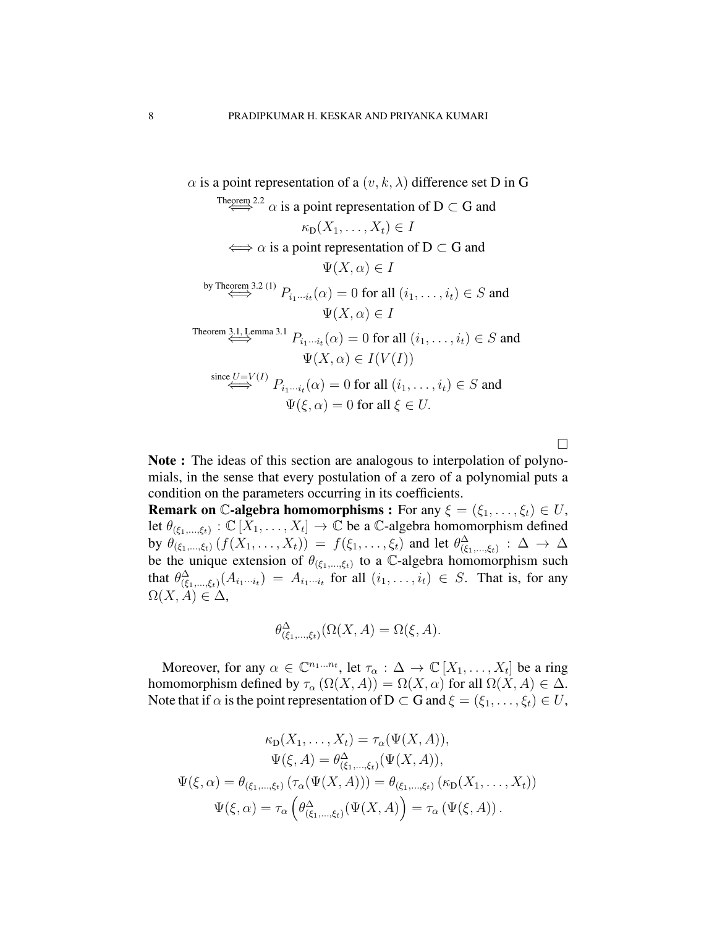$$
\alpha \text{ is a point representation of a } (v, k, \lambda) \text{ difference set D in G}
$$
\n
$$
\text{Theorem 2.2 } \alpha \text{ is a point representation of } D \subset G \text{ and}
$$
\n
$$
\kappa_D(X_1, \ldots, X_t) \in I
$$
\n
$$
\iff \alpha \text{ is a point representation of } D \subset G \text{ and}
$$
\n
$$
\Psi(X, \alpha) \in I
$$
\n
$$
\text{by Theorem 3.2 (1) } P_{i_1 \cdots i_t}(\alpha) = 0 \text{ for all } (i_1, \ldots, i_t) \in S \text{ and}
$$
\n
$$
\Psi(X, \alpha) \in I
$$
\n
$$
\text{Theorem 3.1, Lemma 3.1 } P_{i_1 \cdots i_t}(\alpha) = 0 \text{ for all } (i_1, \ldots, i_t) \in S \text{ and}
$$
\n
$$
\Psi(X, \alpha) \in I(V(I))
$$
\n
$$
\text{since } U = V(I) \quad P_{i_1 \cdots i_t}(\alpha) = 0 \text{ for all } (i_1, \ldots, i_t) \in S \text{ and}
$$
\n
$$
\Psi(\xi, \alpha) = 0 \text{ for all } \xi \in U.
$$

 $\Box$ 

Note : The ideas of this section are analogous to interpolation of polynomials, in the sense that every postulation of a zero of a polynomial puts a condition on the parameters occurring in its coefficients.

**Remark on C-algebra homomorphisms :** For any  $\xi = (\xi_1, \dots, \xi_t) \in U$ , let  $\theta_{(\xi_1,...,\xi_t)} : \mathbb{C}[\overline{X}_1,...,X_t] \to \mathbb{C}$  be a C-algebra homomorphism defined by  $\theta_{(\xi_1,...,\xi_t)}(f(X_1,...,X_t)) = f(\xi_1,...,\xi_t)$  and let  $\theta_{(\xi_1,...,\xi_t)}^{\Delta}$  :  $\Delta \to \Delta$ be the unique extension of  $\theta_{(\xi_1,...,\xi_t)}$  to a C-algebra homomorphism such that  $\theta_{(\xi_1,...,\xi_t)}^{\Delta}$   $(A_{i_1\cdots i_t}) = A_{i_1\cdots i_t}$  for all  $(i_1,...,i_t) \in S$ . That is, for any  $\Omega(X, A) \in \Delta$ ,

$$
\theta_{(\xi_1,\ldots,\xi_t)}^{\Delta}(\Omega(X,A)=\Omega(\xi,A).
$$

Moreover, for any  $\alpha \in \mathbb{C}^{n_1...n_t}$ , let  $\tau_{\alpha}: \Delta \to \mathbb{C}[X_1,...,X_t]$  be a ring homomorphism defined by  $\tau_{\alpha}(\Omega(X, A)) = \Omega(X, \alpha)$  for all  $\Omega(X, A) \in \Delta$ . Note that if  $\alpha$  is the point representation of D  $\subset$  G and  $\xi = (\xi_1, \ldots, \xi_t) \in U$ ,

$$
\kappa_{D}(X_{1},...,X_{t}) = \tau_{\alpha}(\Psi(X,A)),
$$

$$
\Psi(\xi,A) = \theta_{(\xi_{1},...,\xi_{t})}^{\Delta}(\Psi(X,A)),
$$

$$
\Psi(\xi,\alpha) = \theta_{(\xi_{1},...,\xi_{t})}(\tau_{\alpha}(\Psi(X,A))) = \theta_{(\xi_{1},...,\xi_{t})}(\kappa_{D}(X_{1},...,X_{t}))
$$

$$
\Psi(\xi,\alpha) = \tau_{\alpha}(\theta_{(\xi_{1},...,\xi_{t})}^{\Delta}(\Psi(X,A))) = \tau_{\alpha}(\Psi(\xi,A)).
$$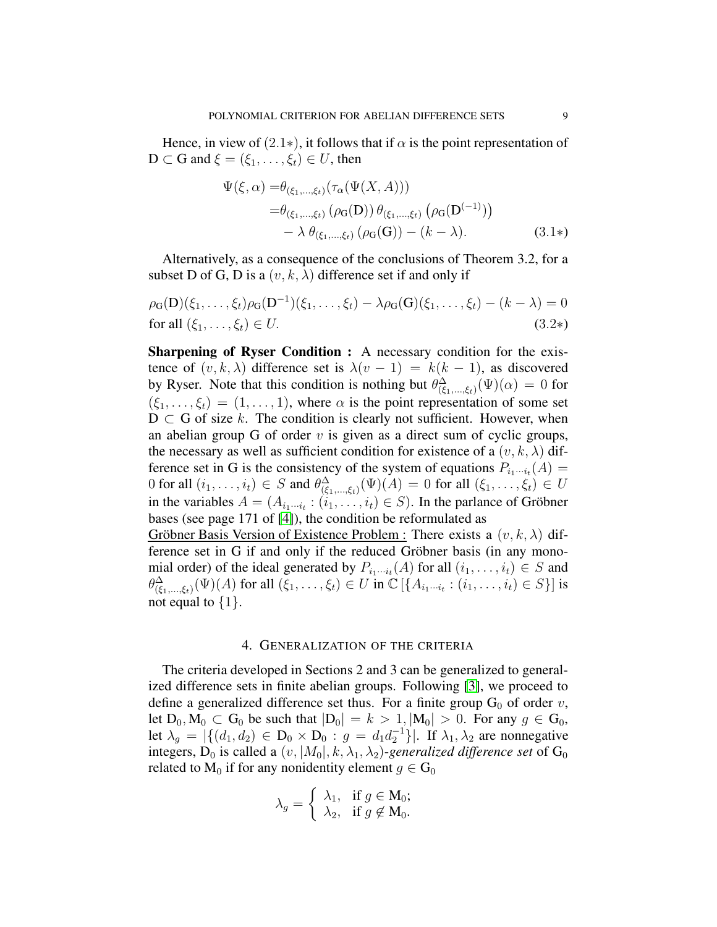Hence, in view of  $(2.1*)$ , it follows that if  $\alpha$  is the point representation of  $D \subset G$  and  $\xi = (\xi_1, \ldots, \xi_t) \in U$ , then

$$
\Psi(\xi,\alpha) = \theta_{(\xi_1,\dots,\xi_t)}(\tau_\alpha(\Psi(X,A))) \n= \theta_{(\xi_1,\dots,\xi_t)}(\rho_G(D)) \theta_{(\xi_1,\dots,\xi_t)}(\rho_G(D^{(-1)})) \n- \lambda \theta_{(\xi_1,\dots,\xi_t)}(\rho_G(G)) - (k - \lambda).
$$
\n(3.1\*)

Alternatively, as a consequence of the conclusions of Theorem 3.2, for a subset D of G, D is a  $(v, k, \lambda)$  difference set if and only if

$$
\rho_G(D)(\xi_1, ..., \xi_t)\rho_G(D^{-1})(\xi_1, ..., \xi_t) - \lambda \rho_G(G)(\xi_1, ..., \xi_t) - (k - \lambda) = 0
$$
  
for all  $(\xi_1, ..., \xi_t) \in U$ . (3.2\*)

Sharpening of Ryser Condition : A necessary condition for the existence of  $(v, k, \lambda)$  difference set is  $\lambda(v - 1) = k(k - 1)$ , as discovered by Ryser. Note that this condition is nothing but  $\theta_{(\xi_1,...,\xi_t)}^{\Delta}(\Psi)(\alpha) = 0$  for  $(\xi_1, \ldots, \xi_t) = (1, \ldots, 1)$ , where  $\alpha$  is the point representation of some set  $D \subset G$  of size k. The condition is clearly not sufficient. However, when an abelian group G of order  $v$  is given as a direct sum of cyclic groups, the necessary as well as sufficient condition for existence of a  $(v, k, \lambda)$  difference set in G is the consistency of the system of equations  $P_{i_1\cdots i_t}(A) =$ 0 for all  $(i_1, \ldots, i_t) \in S$  and  $\theta_{(\xi_1, \ldots, \xi_t)}^{\Delta}(\Psi)(A) = 0$  for all  $(\xi_1, \ldots, \xi_t) \in U$ in the variables  $A = (A_{i_1 \cdots i_t} : (i_1, \ldots, i_t) \in S)$ . In the parlance of Gröbner bases (see page 171 of [\[4\]](#page-16-2)), the condition be reformulated as

Gröbner Basis Version of Existence Problem : There exists a  $(v, k, \lambda)$  difference set in G if and only if the reduced Gröbner basis (in any monomial order) of the ideal generated by  $P_{i_1\cdots i_t}(A)$  for all  $(i_1,\ldots,i_t) \in S$  and  $\theta_{(\xi_1,\ldots,\xi_t)}^{\Delta}(\Psi)(A)$  for all  $(\bar{\xi}_1,\ldots,\xi_t) \in U$  in  $\mathbb{C}[\{A_{i_1\cdots i_t} : (i_1,\ldots,i_t) \in S\}]$  is not equal to  $\{1\}$ .

#### 4. GENERALIZATION OF THE CRITERIA

The criteria developed in Sections 2 and 3 can be generalized to generalized difference sets in finite abelian groups. Following [\[3\]](#page-16-7), we proceed to define a generalized difference set thus. For a finite group  $G_0$  of order v, let  $D_0$ ,  $M_0 \subset G_0$  be such that  $|D_0| = k > 1$ ,  $|M_0| > 0$ . For any  $g \in G_0$ , let  $\lambda_g = |\{(d_1, d_2) \in D_0 \times D_0 : g = d_1 d_2^{-1}\}|$ . If  $\lambda_1, \lambda_2$  are nonnegative integers,  $D_0$  is called a  $(v, |M_0|, k, \lambda_1, \lambda_2)$ -generalized difference set of  $G_0$ related to  $M_0$  if for any nonidentity element  $g \in G_0$ 

$$
\lambda_g = \begin{cases} \lambda_1, & \text{if } g \in M_0; \\ \lambda_2, & \text{if } g \notin M_0. \end{cases}
$$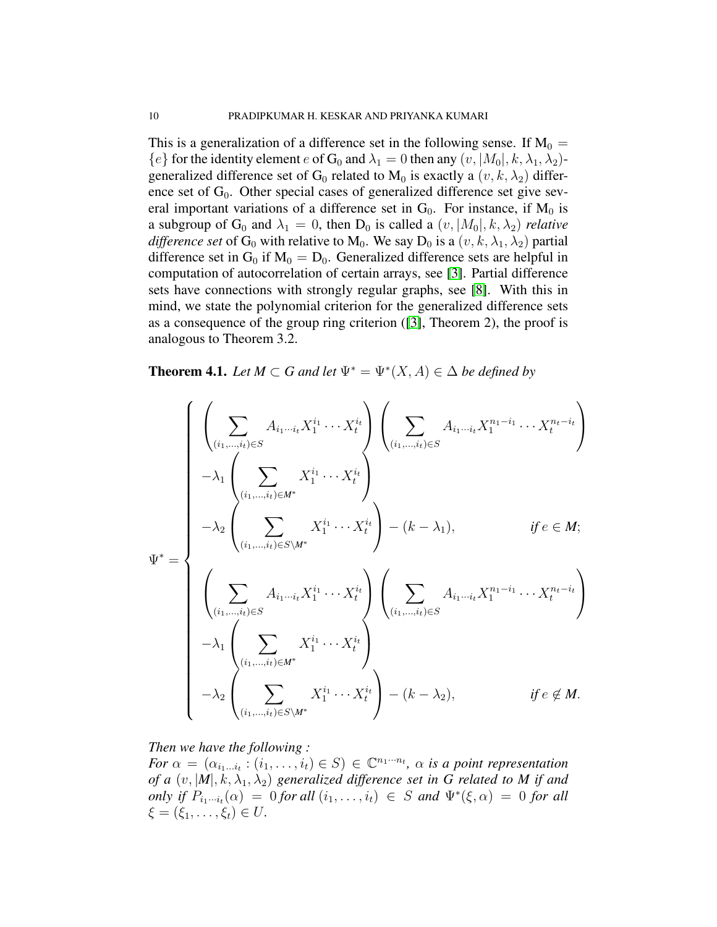This is a generalization of a difference set in the following sense. If  $M_0 =$  ${e}$  for the identity element e of G<sub>0</sub> and  $\lambda_1 = 0$  then any  $(v, |M_0|, k, \lambda_1, \lambda_2)$ generalized difference set of G<sub>0</sub> related to M<sub>0</sub> is exactly a  $(v, k, \lambda_2)$  difference set of  $G_0$ . Other special cases of generalized difference set give several important variations of a difference set in  $G_0$ . For instance, if  $M_0$  is a subgroup of G<sub>0</sub> and  $\lambda_1 = 0$ , then D<sub>0</sub> is called a  $(v, |M_0|, k, \lambda_2)$  *relative difference set* of G<sub>0</sub> with relative to M<sub>0</sub>. We say D<sub>0</sub> is a  $(v, k, \lambda_1, \lambda_2)$  partial difference set in  $G_0$  if  $M_0 = D_0$ . Generalized difference sets are helpful in computation of autocorrelation of certain arrays, see [\[3\]](#page-16-7). Partial difference sets have connections with strongly regular graphs, see [\[8\]](#page-16-8). With this in mind, we state the polynomial criterion for the generalized difference sets as a consequence of the group ring criterion ([\[3\]](#page-16-7), Theorem 2), the proof is analogous to Theorem 3.2.

**Theorem 4.1.** *Let*  $M \subset G$  *and let*  $\Psi^* = \Psi^*(X, A) \in \Delta$  *be defined by* 

$$
\Psi^* = \begin{cases}\n\left(\sum_{(i_1,\ldots,i_t)\in S} A_{i_1\cdots i_t} X_1^{i_1} \cdots X_t^{i_t}\right) \left(\sum_{(i_1,\ldots,i_t)\in S} A_{i_1\cdots i_t} X_1^{n_1-i_1} \cdots X_t^{n_t-i_t}\right) \\
-\lambda_1 \left(\sum_{(i_1,\ldots,i_t)\in M^*} X_1^{i_1} \cdots X_t^{i_t}\right) \left(\sum_{(i_1,\ldots,i_t)\in S\setminus M^*} X_1^{i_1}\cdots X_t^{i_t}\right) - (k-\lambda_1), & \text{if } e \in M; \\
\left(\sum_{(i_1,\ldots,i_t)\in S} A_{i_1\cdots i_t} X_1^{i_1} \cdots X_t^{i_t}\right) \left(\sum_{(i_1,\ldots,i_t)\in S} A_{i_1\cdots i_t} X_1^{n_1-i_1} \cdots X_t^{n_t-i_t}\right) \\
-\lambda_1 \left(\sum_{(i_1,\ldots,i_t)\in M^*} X_1^{i_1} \cdots X_t^{i_t}\right) \left(\sum_{(i_1,\ldots,i_t)\in S\setminus M^*} A_{i_1\cdots i_t} X_1^{i_1-i_1} \cdots X_t^{n_t-i_t}\right) \\
-\lambda_2 \left(\sum_{(i_1,\ldots,i_t)\in S\setminus M^*} X_1^{i_1} \cdots X_t^{i_t}\right) - (k-\lambda_2), & \text{if } e \notin M.\n\end{cases}
$$

## *Then we have the following :*

*For*  $\alpha = (\alpha_{i_1 \dots i_t} : (i_1, \dots, i_t) \in S) \in \mathbb{C}^{n_1 \cdot \dots \cdot n_t}$ ,  $\alpha$  *is a point representation of a*  $(v, |M|, k, \lambda_1, \lambda_2)$  *generalized difference set in G related to M if and only if*  $P_{i_1\cdots i_t}(\alpha) = 0$  *for all*  $(i_1, \ldots, i_t) \in S$  *and*  $\Psi^*(\xi, \alpha) = 0$  *for all*  $\xi = (\xi_1, \ldots, \xi_t) \in U$ .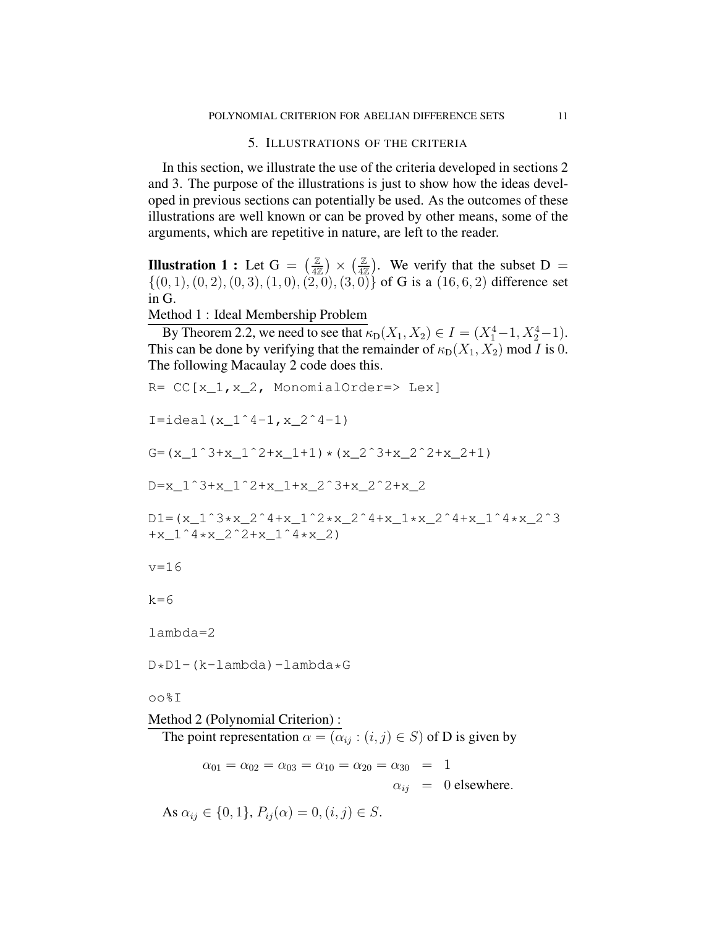# 5. ILLUSTRATIONS OF THE CRITERIA

In this section, we illustrate the use of the criteria developed in sections 2 and 3. The purpose of the illustrations is just to show how the ideas developed in previous sections can potentially be used. As the outcomes of these illustrations are well known or can be proved by other means, some of the arguments, which are repetitive in nature, are left to the reader.

**Illustration 1 :** Let  $G = \left(\frac{Z}{47}\right)$  $\left(\frac{\mathbb{Z}}{4\mathbb{Z}}\right) \times \left(\frac{\mathbb{Z}}{4\mathbb{Z}}\right)$  $\left(\frac{\mathbb{Z}}{4\mathbb{Z}}\right)$ . We verify that the subset D =  $\{(0, 1), (0, 2), (0, 3), (1, 0), (2, 0), (3, 0)\}$  of G is a  $(16, 6, 2)$  difference set in G.

Method 1 : Ideal Membership Problem

By Theorem 2.2, we need to see that  $\kappa_D(X_1, X_2) \in I = (X_1^4 - 1, X_2^4 - 1)$ . This can be done by verifying that the remainder of  $\kappa_D(X_1, X_2)$  mod I is 0. The following Macaulay 2 code does this.

```
R= CC[x 1, x 2, MonomialOrder= > Lex]I=ideal(x_1^4-1, x_2^4-1)
G=(x_1<sup>^</sup>3+x_1<sup>^</sup>2+x_1+1) * (x_2<sup>^</sup>3+x_2<sup>^</sup>2+x_2+1)
D=x_1ˆ3+x_1ˆ2+x_1+x_2ˆ3+x_2ˆ2+x_2
D1 = (x_1^3 * x_2^2 * 4 + x_1^2 * x_2^2 * 4 + x_1^3 * x_2^2 * 4 + x_1^3 * x_2^3)+x 14*x 2^2+x 1^4*x 2)
v=16
k=6lambda=2
D*D1-(k-lambda)-lambda*G
oo%I
Method 2 (Polynomial Criterion) :
  The point representation \alpha = (\alpha_{ij} : (i, j) \in S) of D is given by
          \alpha_{01} = \alpha_{02} = \alpha_{03} = \alpha_{10} = \alpha_{20} = \alpha_{30} = 1
```
 $\alpha_{ij} = 0$  elsewhere.

As  $\alpha_{ij} \in \{0, 1\}, P_{ij}(\alpha) = 0, (i, j) \in S$ .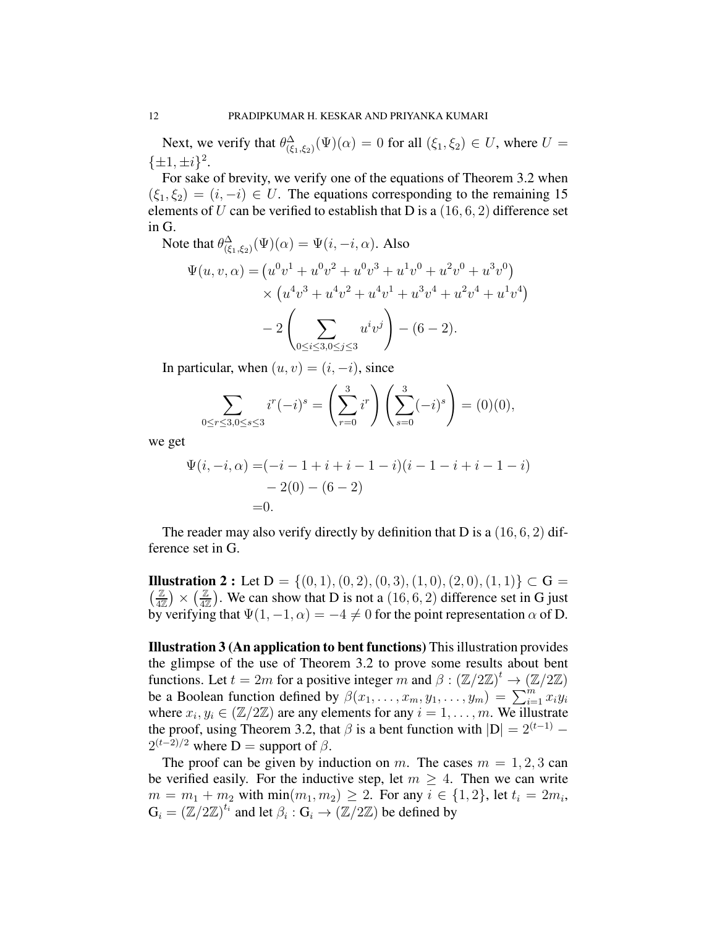Next, we verify that  $\theta_{(\xi_1,\xi_2)}^{\Delta}(\Psi)(\alpha) = 0$  for all  $(\xi_1,\xi_2) \in U$ , where  $U =$  $\{\pm 1, \pm i\}^2$ .

For sake of brevity, we verify one of the equations of Theorem 3.2 when  $(\xi_1, \xi_2) = (i, -i) \in U$ . The equations corresponding to the remaining 15 elements of U can be verified to establish that D is a  $(16, 6, 2)$  difference set in G.

Note that  $\theta_{(\xi_1,\xi_2)}^{\Delta}(\Psi)(\alpha) = \Psi(i,-i,\alpha)$ . Also

$$
\Psi(u, v, \alpha) = (u^0v^1 + u^0v^2 + u^0v^3 + u^1v^0 + u^2v^0 + u^3v^0)
$$
  
 
$$
\times (u^4v^3 + u^4v^2 + u^4v^1 + u^3v^4 + u^2v^4 + u^1v^4)
$$
  
- 
$$
2\left(\sum_{0 \le i \le 3, 0 \le j \le 3} u^iv^j\right) - (6 - 2).
$$

In particular, when  $(u, v) = (i, -i)$ , since

$$
\sum_{0 \le r \le 3, 0 \le s \le 3} i^r (-i)^s = \left(\sum_{r=0}^3 i^r\right) \left(\sum_{s=0}^3 (-i)^s\right) = (0)(0),
$$

we get

$$
\Psi(i, -i, \alpha) = (-i - 1 + i + i - 1 - i)(i - 1 - i + i - 1 - i)
$$
  
- 2(0) - (6 - 2)  
=0.

The reader may also verify directly by definition that D is a  $(16, 6, 2)$  difference set in G.

 $\frac{Z}{47}$ **Illustration 2 :** Let  $D = \{(0, 1), (0, 2), (0, 3), (1, 0), (2, 0), (1, 1)\} \subset G$  $\left(\frac{\mathbb{Z}}{4\mathbb{Z}}\right)\times\left(\frac{\mathbb{Z}}{4\mathbb{Z}}\right)$  $\frac{\mathbb{Z}}{4\mathbb{Z}}$ ). We can show that D is not a  $(16, 6, 2)$  difference set in G just by verifying that  $\Psi(1, -1, \alpha) = -4 \neq 0$  for the point representation  $\alpha$  of D.

Illustration 3 (An application to bent functions) This illustration provides the glimpse of the use of Theorem 3.2 to prove some results about bent functions. Let  $t = 2m$  for a positive integer m and  $\beta : (\mathbb{Z}/2\mathbb{Z})^t \to (\mathbb{Z}/2\mathbb{Z})$ be a Boolean function defined by  $\beta(x_1, \ldots, x_m, y_1, \ldots, y_m) = \sum_{i=1}^m x_i y_i$ where  $x_i, y_i \in (\mathbb{Z}/2\mathbb{Z})$  are any elements for any  $i = 1, \ldots, m$ . We illustrate the proof, using Theorem 3.2, that  $\beta$  is a bent function with  $|D| = 2^{(t-1)} 2^{(t-2)/2}$  where D = support of  $\beta$ .

The proof can be given by induction on m. The cases  $m = 1, 2, 3$  can be verified easily. For the inductive step, let  $m > 4$ . Then we can write  $m = m_1 + m_2$  with  $\min(m_1, m_2) \ge 2$ . For any  $i \in \{1, 2\}$ , let  $t_i = 2m_i$ ,  $G_i = (\mathbb{Z}/2\mathbb{Z})^{t_i}$  and let  $\beta_i : G_i \to (\mathbb{Z}/2\mathbb{Z})$  be defined by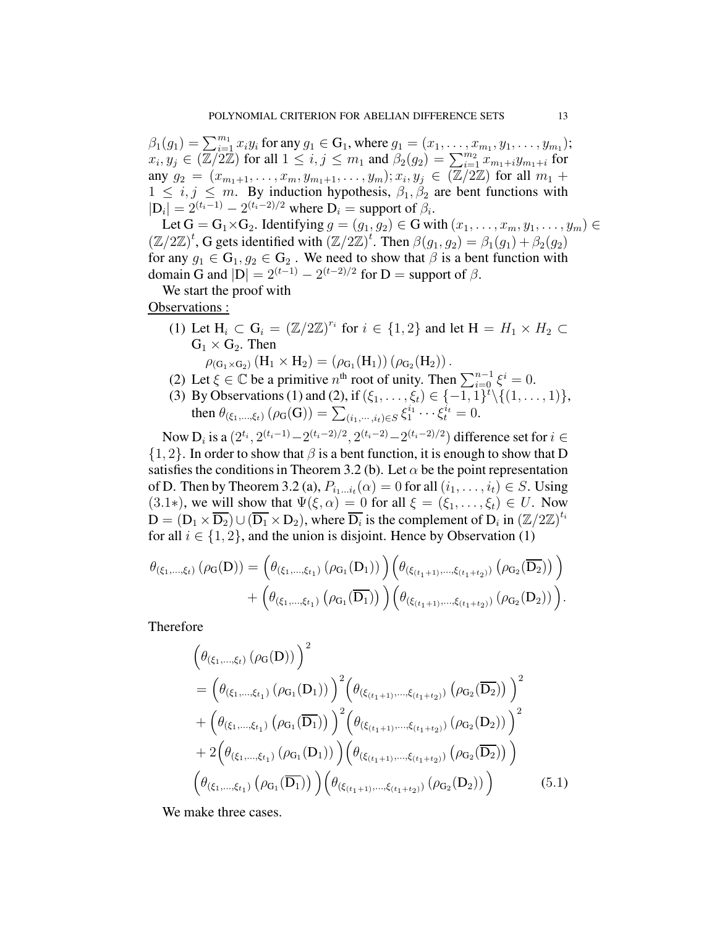$\beta_1(g_1) = \sum_{i=1}^{m_1} x_i y_i$  for any  $g_1 \in G_1$ , where  $g_1 = (x_1, \ldots, x_{m_1}, y_1, \ldots, y_{m_1});$  $x_i, y_j \in (\mathbb{Z}/2\mathbb{Z})$  for all  $1 \leq i, j \leq m_1$  and  $\beta_2(g_2) = \sum_{i=1}^{m_2} x_{m_1+i} y_{m_1+i}$  for any  $g_2 = (x_{m_1+1}, \ldots, x_m, y_{m_1+1}, \ldots, y_m); x_i, y_j \in (\overline{\mathbb{Z}/2\mathbb{Z}})$  for all  $m_1 +$  $1 \leq i, j \leq m$ . By induction hypothesis,  $\beta_1, \beta_2$  are bent functions with  $|\mathbf{D}_i| = 2^{(t_i-1)} - 2^{(t_i-2)/2}$  where  $\mathbf{D}_i$  = support of  $\beta_i$ .

Let  $G = G_1 \times G_2$ . Identifying  $g = (g_1, g_2) \in G$  with  $(x_1, \ldots, x_m, y_1, \ldots, y_m) \in G$  $(\mathbb{Z}/2\mathbb{Z})^t$ , G gets identified with  $(\mathbb{Z}/2\mathbb{Z})^t$ . Then  $\beta(g_1, g_2) = \beta_1(g_1) + \beta_2(g_2)$ for any  $g_1 \in \mathbb{G}_1$ ,  $g_2 \in \mathbb{G}_2$ . We need to show that  $\beta$  is a bent function with domain G and  $|D| = 2^{(t-1)} - 2^{(t-2)/2}$  for D = support of  $\beta$ .

We start the proof with

Observations :

(1) Let  $H_i \subset G_i = (\mathbb{Z}/2\mathbb{Z})^{r_i}$  for  $i \in \{1,2\}$  and let  $H = H_1 \times H_2 \subset$  $G_1 \times G_2$ . Then

 $\rho_{(G_1 \times G_2)}(H_1 \times H_2) = (\rho_{G_1}(H_1))(\rho_{G_2}(H_2))$ .

- (2) Let  $\xi \in \mathbb{C}$  be a primitive  $n^{\text{th}}$  root of unity. Then  $\sum_{i=0}^{n-1} \xi^i = 0$ .
- (3) By Observations (1) and (2), if  $(\xi_1, ..., \xi_t) \in \{-1, 1\}^t \setminus \{(1, ..., 1)\},$ then  $\theta_{(\xi_1, ..., \xi_t)} (\rho_G(G)) = \sum_{(i_1, ..., i_t) \in S} \xi_1^{i_1} \cdots \xi_t^{i_t} = 0.$

Now  $D_i$  is a  $(2^{t_i}, 2^{(t_i-1)} - 2^{(t_i-2)/2}, 2^{(t_i-2)} - 2^{(t_i-2)/2})$  difference set for  $i \in$  $\{1, 2\}$ . In order to show that  $\beta$  is a bent function, it is enough to show that D satisfies the conditions in Theorem 3.2 (b). Let  $\alpha$  be the point representation of D. Then by Theorem 3.2 (a),  $P_{i_1...i_t}(\alpha) = 0$  for all  $(i_1,...,i_t) \in S$ . Using (3.1∗), we will show that  $\Psi(\xi, \alpha) = 0$  for all  $\xi = (\xi_1, \dots, \xi_t) \in U$ . Now  $D = (D_1 \times \overline{D_2}) \cup (\overline{D_1} \times D_2)$ , where  $\overline{D_i}$  is the complement of  $D_i$  in  $(\mathbb{Z}/2\mathbb{Z})^{t_i}$ for all  $i \in \{1, 2\}$ , and the union is disjoint. Hence by Observation (1)

$$
\theta_{(\xi_1, ..., \xi_t)} (\rho_G(D)) = (\theta_{(\xi_1, ..., \xi_{t_1})} (\rho_{G_1}(D_1)))(\theta_{(\xi_{(t_1+1)}, ..., \xi_{(t_1+t_2)})} (\rho_{G_2}(D_2))) + (\theta_{(\xi_1, ..., \xi_{t_1})} (\rho_{G_1}(D_1)))(\theta_{(\xi_{(t_1+1)}, ..., \xi_{(t_1+t_2)})} (\rho_{G_2}(D_2))).
$$

Therefore

$$
\begin{split}\n&\left(\theta_{(\xi_{1},\ldots,\xi_{t})}\left(\rho_{G}(D)\right)\right)^{2} \\
&= \left(\theta_{(\xi_{1},\ldots,\xi_{t_{1}})}\left(\rho_{G_{1}}(D_{1})\right)\right)^{2}\left(\theta_{(\xi_{(t_{1}+1)},\ldots,\xi_{(t_{1}+t_{2})})}\left(\rho_{G_{2}}(D_{2})\right)\right)^{2} \\
&+ \left(\theta_{(\xi_{1},\ldots,\xi_{t_{1}})}\left(\rho_{G_{1}}(D_{1})\right)\right)^{2}\left(\theta_{(\xi_{(t_{1}+1)},\ldots,\xi_{(t_{1}+t_{2})})}\left(\rho_{G_{2}}(D_{2})\right)\right)^{2} \\
&+ 2\left(\theta_{(\xi_{1},\ldots,\xi_{t_{1}})}\left(\rho_{G_{1}}(D_{1})\right)\right)\left(\theta_{(\xi_{(t_{1}+1)},\ldots,\xi_{(t_{1}+t_{2})})}\left(\rho_{G_{2}}(D_{2})\right)\right) \\
&\left(\theta_{(\xi_{1},\ldots,\xi_{t_{1}})}\left(\rho_{G_{1}}(D_{1})\right)\right)\left(\theta_{(\xi_{(t_{1}+1)},\ldots,\xi_{(t_{1}+t_{2})})}\left(\rho_{G_{2}}(D_{2})\right)\right)\n\end{split} \tag{5.1}
$$

We make three cases.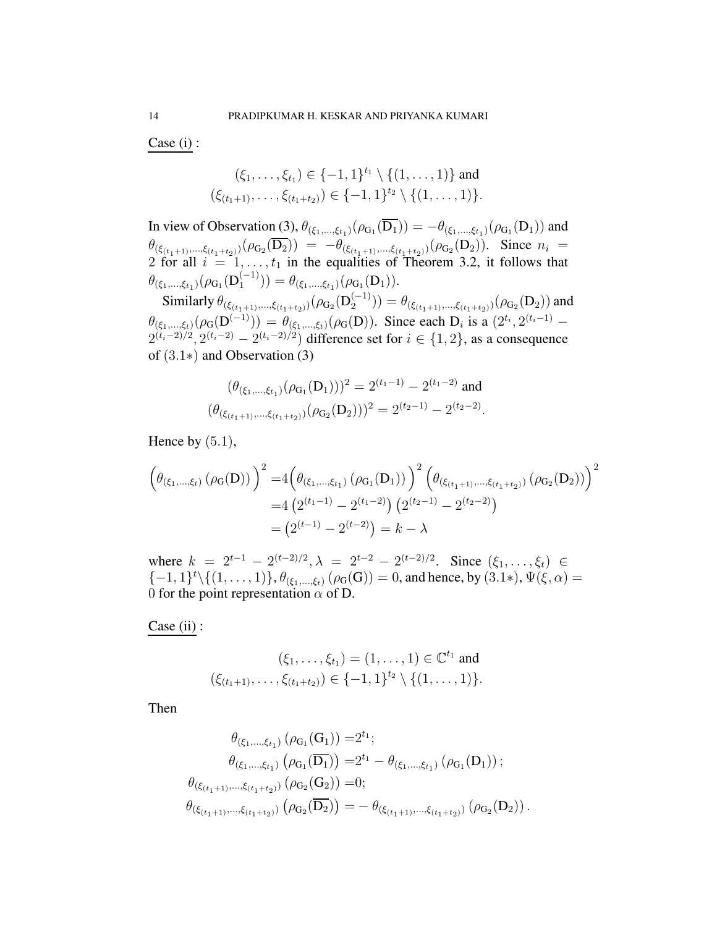Case (i) :

$$
(\xi_1,\ldots,\xi_{t_1})\in\{-1,1\}^{t_1}\setminus\{(1,\ldots,1)\}\text{ and }
$$
  

$$
(\xi_{(t_1+1)},\ldots,\xi_{(t_1+t_2)})\in\{-1,1\}^{t_2}\setminus\{(1,\ldots,1)\}.
$$

In view of Observation (3),  $\theta_{(\xi_1,...,\xi_{t_1})}(\rho_{G_1}(D_1)) = -\theta_{(\xi_1,...,\xi_{t_1})}(\rho_{G_1}(D_1))$  and  $\theta_{(\xi_{(t_1+1)},\ldots,\xi_{(t_1+t_2)})}(\rho_{G_2}(D_2)) = -\theta_{(\xi_{(t_1+1)},\ldots,\xi_{(t_1+t_2)})}(\rho_{G_2}(D_2)).$  Since  $n_i =$ 2 for all  $i = 1, \ldots, t_1$  in the equalities of Theorem 3.2, it follows that  $\theta_{(\xi_1,...,\xi_{t_1})}(\rho_{\mathrm{G}_1}(\mathrm{D}_1^{(-1)}))$  $\theta_{(\xi_1,...,\xi_{t_1})}(\rho_{G_1}(D_1)).$ 

Similarly  $\theta_{(\xi_{(t_1+1)},\ldots,\xi_{(t_1+t_2)})}(\rho_{\mathbf{G}_2}(\mathbf{D}_2^{(-1)})$  $\mathcal{L}_{2}^{(-1)})) = \theta_{(\xi_{(t_1+1)},...,\xi_{(t_1+t_2)})}(\rho_{\mathrm{G}_2}(\mathrm{D}_2))$  and  $\theta_{(\xi_1,\dots,\xi_t)}(\rho_G(D^{(-1)})) = \theta_{(\xi_1,\dots,\xi_t)}(\rho_G(D)).$  Since each  $D_i$  is a  $(2^{t_i}, 2^{(t_i-1)} 2^{(t_i-2)/2}$ ,  $2^{(t_i-2)} - 2^{(t_i-2)/2}$ ) difference set for  $i \in \{1,2\}$ , as a consequence of (3.1∗) and Observation (3)

$$
(\theta_{(\xi_1,\ldots,\xi_{t_1})}(\rho_{G_1}(D_1)))^2 = 2^{(t_1-1)} - 2^{(t_1-2)}
$$
 and  

$$
(\theta_{(\xi_{(t_1+1)},\ldots,\xi_{(t_1+t_2)})}(\rho_{G_2}(D_2)))^2 = 2^{(t_2-1)} - 2^{(t_2-2)}.
$$

Hence by  $(5.1)$ ,

$$
\left(\theta_{(\xi_1,\ldots,\xi_t)}\left(\rho_G(D)\right)\right)^2 = 4\left(\theta_{(\xi_1,\ldots,\xi_{t_1})}\left(\rho_{G_1}(D_1)\right)\right)^2 \left(\theta_{(\xi_{(t_1+1)},\ldots,\xi_{(t_1+t_2)})}\left(\rho_{G_2}(D_2)\right)\right)^2
$$

$$
= 4\left(2^{(t_1-1)} - 2^{(t_1-2)}\right)\left(2^{(t_2-1)} - 2^{(t_2-2)}\right)
$$

$$
= \left(2^{(t-1)} - 2^{(t-2)}\right) = k - \lambda
$$

where  $k = 2^{t-1} - 2^{(t-2)/2}, \lambda = 2^{t-2} - 2^{(t-2)/2}$ . Since  $(\xi_1, \ldots, \xi_t) \in$  $\{-1,1\}^t \setminus \{(1,\ldots,1)\}, \theta_{(\xi_1,\ldots,\xi_t)}$   $(\rho_G(G)) = 0$ , and hence, by  $(3.1*)$ ,  $\Psi(\xi, \alpha) =$ 0 for the point representation  $\alpha$  of D.

Case (ii) :

$$
(\xi_1, \ldots, \xi_{t_1}) = (1, \ldots, 1) \in \mathbb{C}^{t_1} \text{ and}
$$
  

$$
(\xi_{(t_1+1)}, \ldots, \xi_{(t_1+t_2)}) \in \{-1, 1\}^{t_2} \setminus \{(1, \ldots, 1)\}.
$$

Then

$$
\theta_{(\xi_1,\ldots,\xi_{t_1})} (\rho_{G_1}(G_1)) = 2^{t_1};
$$
\n
$$
\theta_{(\xi_1,\ldots,\xi_{t_1})} (\rho_{G_1}(\overline{D_1})) = 2^{t_1} - \theta_{(\xi_1,\ldots,\xi_{t_1})} (\rho_{G_1}(D_1));
$$
\n
$$
\theta_{(\xi_{(t_1+1)},\ldots,\xi_{(t_1+t_2)})} (\rho_{G_2}(G_2)) = 0;
$$
\n
$$
\theta_{(\xi_{(t_1+1)},\ldots,\xi_{(t_1+t_2)})} (\rho_{G_2}(\overline{D_2})) = -\theta_{(\xi_{(t_1+1)},\ldots,\xi_{(t_1+t_2)})} (\rho_{G_2}(D_2)).
$$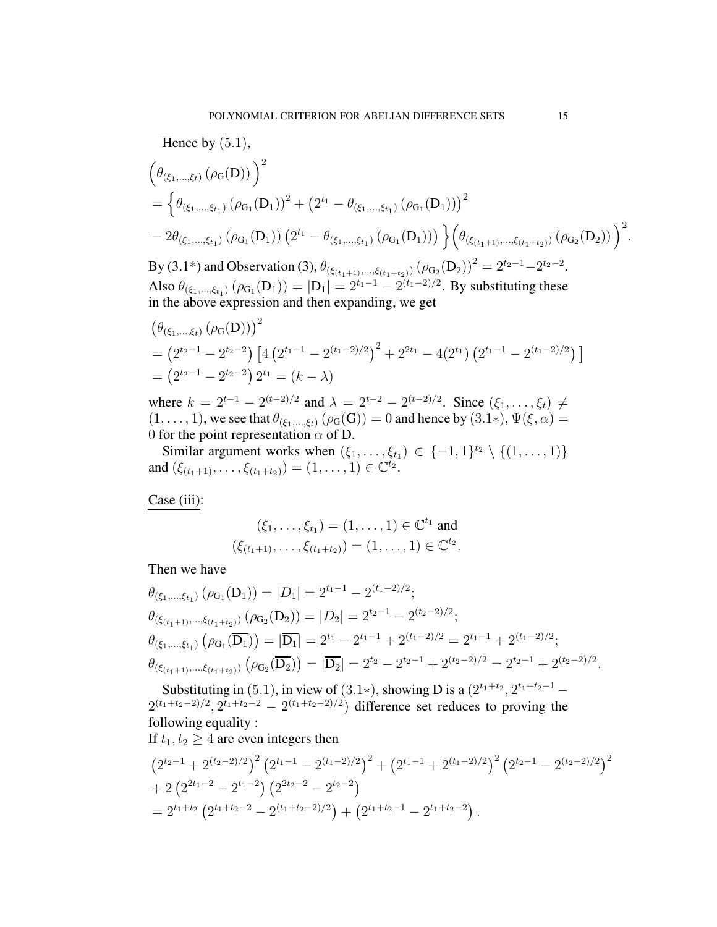Hence by  $(5.1)$ ,

$$
\begin{aligned}&\left(\theta_{(\xi_1,\ldots,\xi_t)}\left(\rho_G(D)\right)\right)^2\\&=\left\{\theta_{(\xi_1,\ldots,\xi_{t_1})}\left(\rho_{G_1}(D_1)\right)^2+\left(2^{t_1}-\theta_{(\xi_1,\ldots,\xi_{t_1})}\left(\rho_{G_1}(D_1)\right)\right)^2\\&-2\theta_{(\xi_1,\ldots,\xi_{t_1})}\left(\rho_{G_1}(D_1)\right)\left(2^{t_1}-\theta_{(\xi_1,\ldots,\xi_{t_1})}\left(\rho_{G_1}(D_1)\right)\right)\right\}\left(\theta_{(\xi_{(t_1+1)},\ldots,\xi_{(t_1+t_2)})}\left(\rho_{G_2}(D_2)\right)\right)^2.\end{aligned}
$$

By (3.1\*) and Observation (3),  $\theta_{(\xi_{(t_1+1)},\ldots,\xi_{(t_1+t_2)})} (\rho_{G_2}(D_2))^2 = 2^{t_2-1} - 2^{t_2-2}$ . Also  $\theta_{(\xi_1,...,\xi_{t_1})} (\rho_{G_1}(D_1)) = |D_1| = 2^{t_1-1} - 2^{(t_1-2)/2}$ . By substituting these in the above expression and then expanding, we get

$$
\begin{aligned} &\left(\theta_{(\xi_1,\ldots,\xi_t)}\left(\rho_G(D)\right)\right)^2\\ &=\left(2^{t_2-1}-2^{t_2-2}\right)\left[4\left(2^{t_1-1}-2^{(t_1-2)/2}\right)^2+2^{2t_1}-4(2^{t_1})\left(2^{t_1-1}-2^{(t_1-2)/2}\right)\right] \\ &=\left(2^{t_2-1}-2^{t_2-2}\right)2^{t_1}=(k-\lambda)\end{aligned}
$$

where  $k = 2^{t-1} - 2^{(t-2)/2}$  and  $\lambda = 2^{t-2} - 2^{(t-2)/2}$ . Since  $(\xi_1, \dots, \xi_t) \neq$  $(1, \ldots, 1)$ , we see that  $\theta_{(\xi_1, \ldots, \xi_t)}(\rho_G(G)) = 0$  and hence by  $(3.1*)$ ,  $\Psi(\xi, \alpha) =$ 0 for the point representation  $\alpha$  of D.

Similar argument works when  $(\xi_1, \ldots, \xi_{t_1}) \in \{-1, 1\}^{t_2} \setminus \{(1, \ldots, 1)\}$ and  $(\xi_{(t_1+1)},\ldots,\xi_{(t_1+t_2)})=(1,\ldots,1)\in\mathbb{C}^{t_2}.$ 

Case (iii):

$$
(\xi_1, \ldots, \xi_{t_1}) = (1, \ldots, 1) \in \mathbb{C}^{t_1} \text{ and}
$$
  

$$
(\xi_{(t_1+1)}, \ldots, \xi_{(t_1+t_2)}) = (1, \ldots, 1) \in \mathbb{C}^{t_2}.
$$

Then we have

$$
\theta_{(\xi_1,\ldots,\xi_{t_1})} (\rho_{G_1}(D_1)) = |D_1| = 2^{t_1-1} - 2^{(t_1-2)/2};
$$
\n
$$
\theta_{(\xi_{(t_1+1)},\ldots,\xi_{(t_1+t_2)})} (\rho_{G_2}(D_2)) = |D_2| = 2^{t_2-1} - 2^{(t_2-2)/2};
$$
\n
$$
\theta_{(\xi_1,\ldots,\xi_{t_1})} (\rho_{G_1}(\overline{D_1})) = |\overline{D_1}| = 2^{t_1} - 2^{t_1-1} + 2^{(t_1-2)/2} = 2^{t_1-1} + 2^{(t_1-2)/2};
$$
\n
$$
\theta_{(\xi_{(t_1+1)},\ldots,\xi_{(t_1+t_2)})} (\rho_{G_2}(\overline{D_2})) = |\overline{D_2}| = 2^{t_2} - 2^{t_2-1} + 2^{(t_2-2)/2} = 2^{t_2-1} + 2^{(t_2-2)/2}.
$$

Substituting in (5.1), in view of (3.1\*), showing D is a  $(2^{t_1+t_2}, 2^{t_1+t_2-1} 2^{(t_1+t_2-2)/2}$ ,  $2^{t_1+t_2-2} - 2^{(t_1+t_2-2)/2}$  difference set reduces to proving the following equality :

If 
$$
t_1, t_2 \geq 4
$$
 are even integers then

$$
(2^{t_2-1}+2^{(t_2-2)/2})^2 (2^{t_1-1}-2^{(t_1-2)/2})^2 + (2^{t_1-1}+2^{(t_1-2)/2})^2 (2^{t_2-1}-2^{(t_2-2)/2})^2
$$
  
+ 2 (2<sup>2t\_1-2</sup> - 2<sup>t\_1-2</sup>) (2<sup>2t\_2-2</sup> - 2<sup>t\_2-2</sup>)  
= 2<sup>t\_1+t\_2</sup> (2<sup>t\_1+t\_2-2</sup> - 2<sup>(t\_1+t\_2-2)/2</sup>) + (2<sup>t\_1+t\_2-1</sup> - 2<sup>t\_1+t\_2-2</sup>).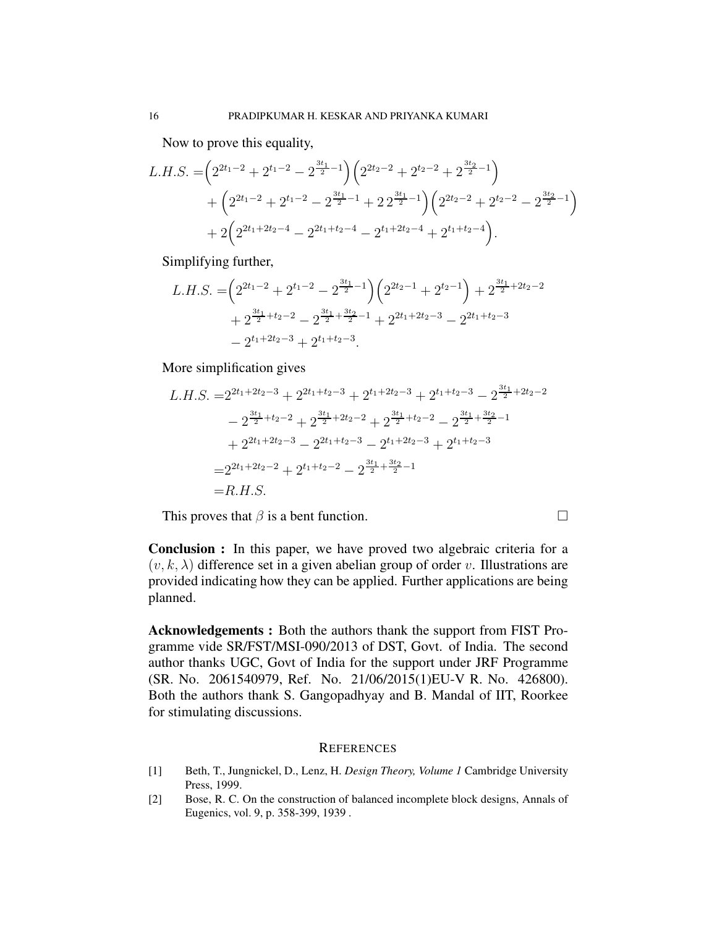Now to prove this equality,

$$
L.H.S. = \left(2^{2t_1-2} + 2^{t_1-2} - 2^{\frac{3t_1}{2}-1}\right) \left(2^{2t_2-2} + 2^{t_2-2} + 2^{\frac{3t_2}{2}-1}\right) + \left(2^{2t_1-2} + 2^{t_1-2} - 2^{\frac{3t_1}{2}-1} + 2 \cdot 2^{\frac{3t_1}{2}-1}\right) \left(2^{2t_2-2} + 2^{t_2-2} - 2^{\frac{3t_2}{2}-1}\right) + 2\left(2^{2t_1+2t_2-4} - 2^{2t_1+t_2-4} - 2^{t_1+2t_2-4} + 2^{t_1+t_2-4}\right).
$$

Simplifying further,

$$
L.H.S. = \left(2^{2t_1-2} + 2^{t_1-2} - 2^{\frac{3t_1}{2}-1}\right)\left(2^{2t_2-1} + 2^{t_2-1}\right) + 2^{\frac{3t_1}{2}+2t_2-2} + 2^{\frac{3t_1}{2}+t_2-2} - 2^{\frac{3t_1}{2}+\frac{3t_2}{2}-1} + 2^{2t_1+2t_2-3} - 2^{2t_1+t_2-3} - 2^{t_1+2t_2-3} + 2^{t_1+t_2-3}.
$$

More simplification gives

$$
L.H.S. = 2^{2t_1 + 2t_2 - 3} + 2^{2t_1 + t_2 - 3} + 2^{t_1 + 2t_2 - 3} + 2^{t_1 + t_2 - 3} - 2^{\frac{3t_1}{2} + 2t_2 - 2}
$$
  
\n
$$
- 2^{\frac{3t_1}{2} + t_2 - 2} + 2^{\frac{3t_1}{2} + 2t_2 - 2} + 2^{\frac{3t_1}{2} + t_2 - 2} - 2^{\frac{3t_1}{2} + \frac{3t_2}{2} - 1}
$$
  
\n
$$
+ 2^{2t_1 + 2t_2 - 3} - 2^{2t_1 + t_2 - 3} - 2^{t_1 + 2t_2 - 3} + 2^{t_1 + t_2 - 3}
$$
  
\n
$$
= 2^{2t_1 + 2t_2 - 2} + 2^{t_1 + t_2 - 2} - 2^{\frac{3t_1}{2} + \frac{3t_2}{2} - 1}
$$
  
\n
$$
= R.H.S.
$$

This proves that  $\beta$  is a bent function.

Conclusion : In this paper, we have proved two algebraic criteria for a  $(v, k, \lambda)$  difference set in a given abelian group of order v. Illustrations are provided indicating how they can be applied. Further applications are being planned.

Acknowledgements : Both the authors thank the support from FIST Programme vide SR/FST/MSI-090/2013 of DST, Govt. of India. The second author thanks UGC, Govt of India for the support under JRF Programme (SR. No. 2061540979, Ref. No. 21/06/2015(1)EU-V R. No. 426800). Both the authors thank S. Gangopadhyay and B. Mandal of IIT, Roorkee for stimulating discussions.

## **REFERENCES**

- <span id="page-15-1"></span>[1] Beth, T., Jungnickel, D., Lenz, H. *Design Theory, Volume 1* Cambridge University Press, 1999.
- <span id="page-15-0"></span>[2] Bose, R. C. On the construction of balanced incomplete block designs, Annals of Eugenics, vol. 9, p. 358-399, 1939 .